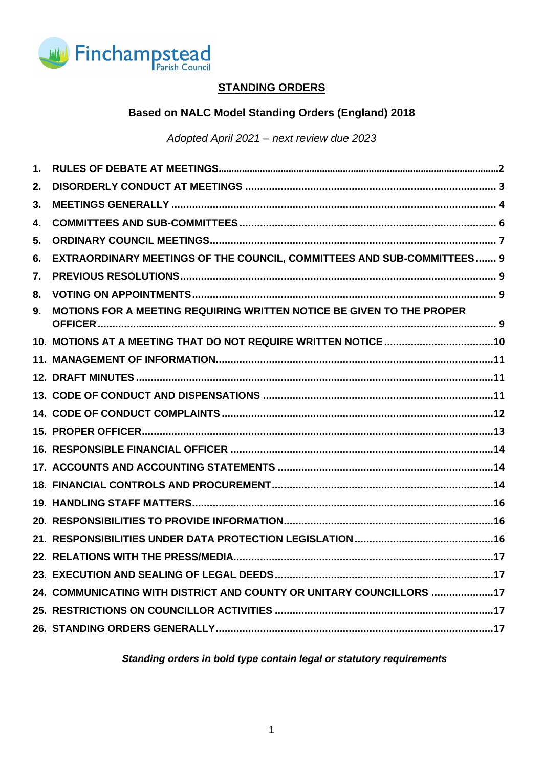

# **STANDING ORDERS**

# **Based on NALC Model Standing Orders (England) 2018**

## *Adopted April 2021 – next review due 2023*

| EXTRAORDINARY MEETINGS OF THE COUNCIL, COMMITTEES AND SUB-COMMITTEES 9 |
|------------------------------------------------------------------------|
|                                                                        |
|                                                                        |
| MOTIONS FOR A MEETING REQUIRING WRITTEN NOTICE BE GIVEN TO THE PROPER  |
|                                                                        |
|                                                                        |
|                                                                        |
|                                                                        |
|                                                                        |
|                                                                        |
|                                                                        |
|                                                                        |
|                                                                        |
|                                                                        |
|                                                                        |
|                                                                        |
|                                                                        |
|                                                                        |
| 24. COMMUNICATING WITH DISTRICT AND COUNTY OR UNITARY COUNCILLORS 17   |
|                                                                        |
|                                                                        |
|                                                                        |

*Standing orders in bold type contain legal or statutory requirements*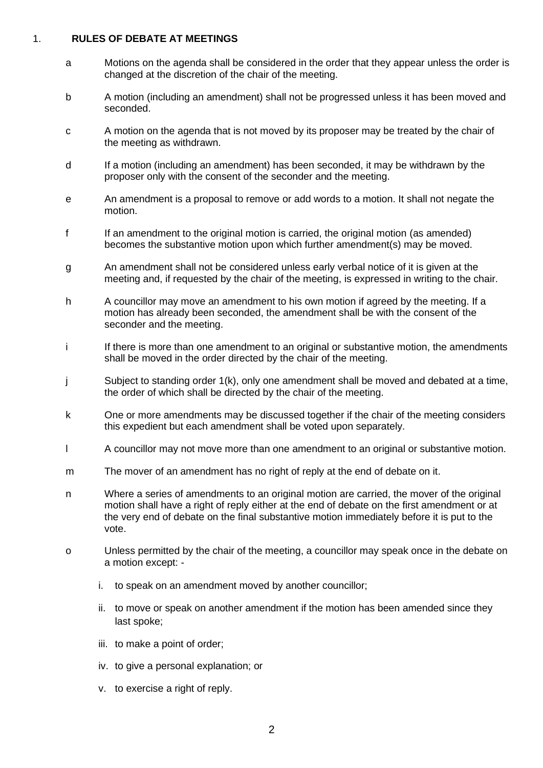#### <span id="page-1-0"></span>1. **RULES OF DEBATE AT MEETINGS**

- a Motions on the agenda shall be considered in the order that they appear unless the order is changed at the discretion of the chair of the meeting.
- b A motion (including an amendment) shall not be progressed unless it has been moved and seconded.
- c A motion on the agenda that is not moved by its proposer may be treated by the chair of the meeting as withdrawn.
- d If a motion (including an amendment) has been seconded, it may be withdrawn by the proposer only with the consent of the seconder and the meeting.
- e An amendment is a proposal to remove or add words to a motion. It shall not negate the motion.
- f If an amendment to the original motion is carried, the original motion (as amended) becomes the substantive motion upon which further amendment(s) may be moved.
- g An amendment shall not be considered unless early verbal notice of it is given at the meeting and, if requested by the chair of the meeting, is expressed in writing to the chair.
- h A councillor may move an amendment to his own motion if agreed by the meeting. If a motion has already been seconded, the amendment shall be with the consent of the seconder and the meeting.
- i If there is more than one amendment to an original or substantive motion, the amendments shall be moved in the order directed by the chair of the meeting.
- j Subject to standing order 1(k), only one amendment shall be moved and debated at a time, the order of which shall be directed by the chair of the meeting.
- k One or more amendments may be discussed together if the chair of the meeting considers this expedient but each amendment shall be voted upon separately.
- l A councillor may not move more than one amendment to an original or substantive motion.
- m The mover of an amendment has no right of reply at the end of debate on it.
- n Where a series of amendments to an original motion are carried, the mover of the original motion shall have a right of reply either at the end of debate on the first amendment or at the very end of debate on the final substantive motion immediately before it is put to the vote.
- o Unless permitted by the chair of the meeting, a councillor may speak once in the debate on a motion except:
	- i. to speak on an amendment moved by another councillor;
	- ii. to move or speak on another amendment if the motion has been amended since they last spoke;
	- iii. to make a point of order;
	- iv. to give a personal explanation; or
	- v. to exercise a right of reply.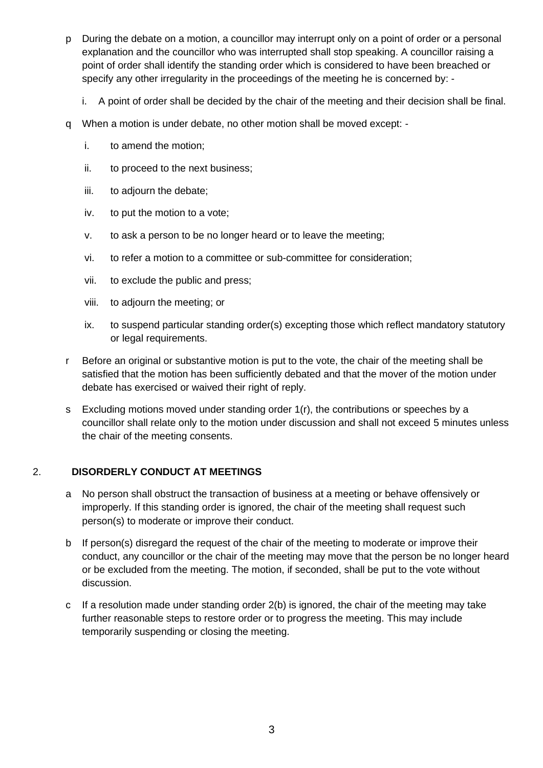- p During the debate on a motion, a councillor may interrupt only on a point of order or a personal explanation and the councillor who was interrupted shall stop speaking. A councillor raising a point of order shall identify the standing order which is considered to have been breached or specify any other irregularity in the proceedings of the meeting he is concerned by:
	- i. A point of order shall be decided by the chair of the meeting and their decision shall be final.
- q When a motion is under debate, no other motion shall be moved except:
	- i. to amend the motion;
	- ii. to proceed to the next business;
	- iii. to adjourn the debate;
	- iv. to put the motion to a vote;
	- v. to ask a person to be no longer heard or to leave the meeting;
	- vi. to refer a motion to a committee or sub-committee for consideration;
	- vii. to exclude the public and press;
	- viii. to adjourn the meeting; or
	- ix. to suspend particular standing order(s) excepting those which reflect mandatory statutory or legal requirements.
- r Before an original or substantive motion is put to the vote, the chair of the meeting shall be satisfied that the motion has been sufficiently debated and that the mover of the motion under debate has exercised or waived their right of reply.
- s Excluding motions moved under standing order 1(r), the contributions or speeches by a councillor shall relate only to the motion under discussion and shall not exceed 5 minutes unless the chair of the meeting consents.

## <span id="page-2-0"></span>2. **DISORDERLY CONDUCT AT MEETINGS**

- a No person shall obstruct the transaction of business at a meeting or behave offensively or improperly. If this standing order is ignored, the chair of the meeting shall request such person(s) to moderate or improve their conduct.
- b If person(s) disregard the request of the chair of the meeting to moderate or improve their conduct, any councillor or the chair of the meeting may move that the person be no longer heard or be excluded from the meeting. The motion, if seconded, shall be put to the vote without discussion.
- c If a resolution made under standing order 2(b) is ignored, the chair of the meeting may take further reasonable steps to restore order or to progress the meeting. This may include temporarily suspending or closing the meeting.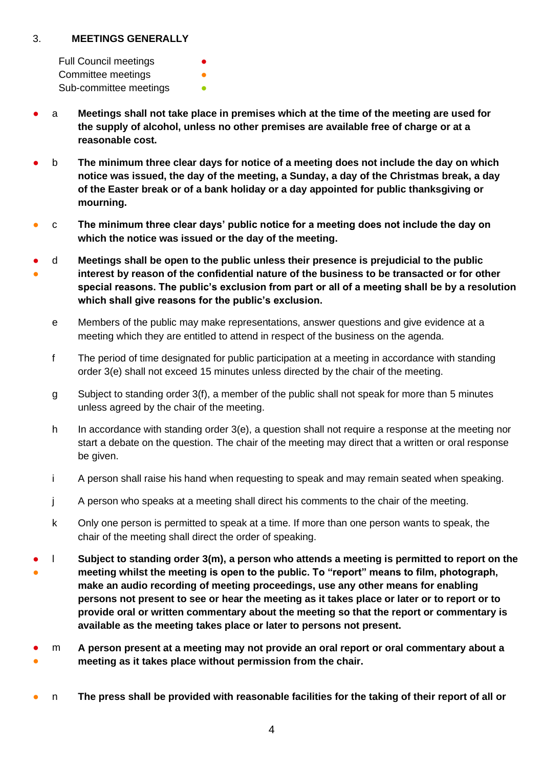#### <span id="page-3-0"></span>3. **MEETINGS GENERALLY**

Full Council meetings Committee meetings **•** Sub-committee meetings **•** 

- a **Meetings shall not take place in premises which at the time of the meeting are used for the supply of alcohol, unless no other premises are available free of charge or at a reasonable cost.**
- b **The minimum three clear days for notice of a meeting does not include the day on which notice was issued, the day of the meeting, a Sunday, a day of the Christmas break, a day of the Easter break or of a bank holiday or a day appointed for public thanksgiving or mourning.**
- c **The minimum three clear days' public notice for a meeting does not include the day on which the notice was issued or the day of the meeting.**
- ● d **Meetings shall be open to the public unless their presence is prejudicial to the public interest by reason of the confidential nature of the business to be transacted or for other special reasons. The public's exclusion from part or all of a meeting shall be by a resolution which shall give reasons for the public's exclusion.**
	- e Members of the public may make representations, answer questions and give evidence at a meeting which they are entitled to attend in respect of the business on the agenda.
	- f The period of time designated for public participation at a meeting in accordance with standing order 3(e) shall not exceed 15 minutes unless directed by the chair of the meeting.
	- g Subject to standing order 3(f), a member of the public shall not speak for more than 5 minutes unless agreed by the chair of the meeting.
	- h In accordance with standing order 3(e), a question shall not require a response at the meeting nor start a debate on the question. The chair of the meeting may direct that a written or oral response be given.
	- i A person shall raise his hand when requesting to speak and may remain seated when speaking.
	- j A person who speaks at a meeting shall direct his comments to the chair of the meeting.
	- k Only one person is permitted to speak at a time. If more than one person wants to speak, the chair of the meeting shall direct the order of speaking.
- ● **I** Subject to standing order 3(m), a person who attends a meeting is permitted to report on the **meeting whilst the meeting is open to the public. To "report" means to film, photograph, make an audio recording of meeting proceedings, use any other means for enabling persons not present to see or hear the meeting as it takes place or later or to report or to provide oral or written commentary about the meeting so that the report or commentary is available as the meeting takes place or later to persons not present.**
- ● m **A person present at a meeting may not provide an oral report or oral commentary about a meeting as it takes place without permission from the chair.**
- n The press shall be provided with reasonable facilities for the taking of their report of all or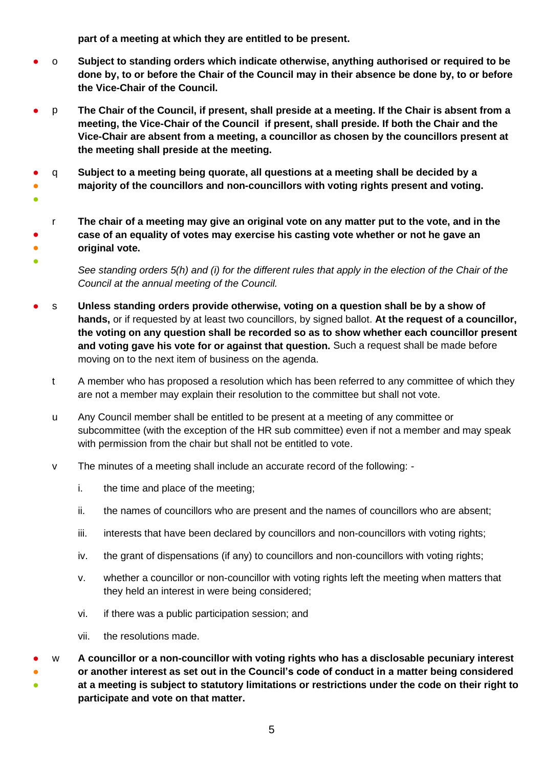**part of a meeting at which they are entitled to be present.** 

- o **Subject to standing orders which indicate otherwise, anything authorised or required to be done by, to or before the Chair of the Council may in their absence be done by, to or before the Vice-Chair of the Council.**
- p **The Chair of the Council, if present, shall preside at a meeting. If the Chair is absent from a meeting, the Vice-Chair of the Council if present, shall preside. If both the Chair and the Vice-Chair are absent from a meeting, a councillor as chosen by the councillors present at the meeting shall preside at the meeting.**
- ● q **Subject to a meeting being quorate, all questions at a meeting shall be decided by a majority of the councillors and non-councillors with voting rights present and voting.**
- ●
- r **The chair of a meeting may give an original vote on any matter put to the vote, and in the case of an equality of votes may exercise his casting vote whether or not he gave an original vote.**
- ●
	- *See standing orders 5(h) and (i) for the different rules that apply in the election of the Chair of the Council at the annual meeting of the Council.*
- s **Unless standing orders provide otherwise, voting on a question shall be by a show of hands,** or if requested by at least two councillors, by signed ballot. **At the request of a councillor, the voting on any question shall be recorded so as to show whether each councillor present and voting gave his vote for or against that question.** Such a request shall be made before moving on to the next item of business on the agenda.
	- t A member who has proposed a resolution which has been referred to any committee of which they are not a member may explain their resolution to the committee but shall not vote.
	- u Any Council member shall be entitled to be present at a meeting of any committee or subcommittee (with the exception of the HR sub committee) even if not a member and may speak with permission from the chair but shall not be entitled to vote.
	- v The minutes of a meeting shall include an accurate record of the following:
		- i. the time and place of the meeting;
		- ii. the names of councillors who are present and the names of councillors who are absent;
		- iii. interests that have been declared by councillors and non-councillors with voting rights;
		- iv. the grant of dispensations (if any) to councillors and non-councillors with voting rights;
		- v. whether a councillor or non-councillor with voting rights left the meeting when matters that they held an interest in were being considered;
		- vi. if there was a public participation session; and
		- vii. the resolutions made.
- ● ● w **A councillor or a non-councillor with voting rights who has a disclosable pecuniary interest or another interest as set out in the Council's code of conduct in a matter being considered at a meeting is subject to statutory limitations or restrictions under the code on their right to participate and vote on that matter.**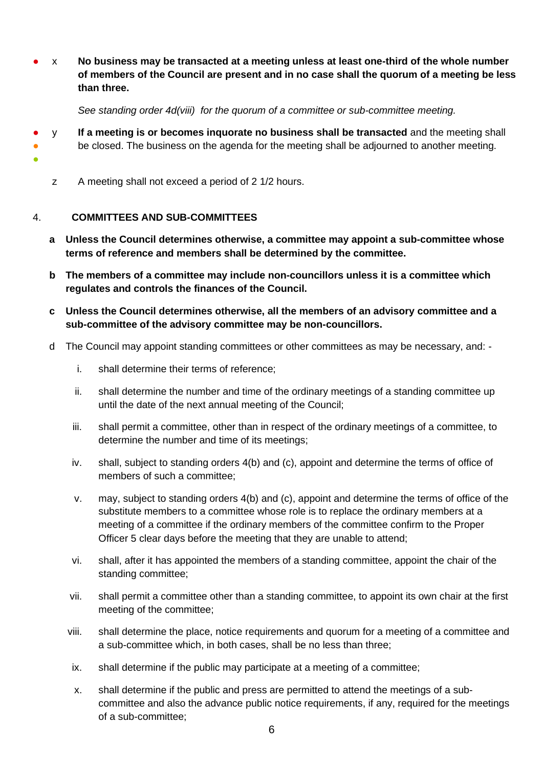● x **No business may be transacted at a meeting unless at least one-third of the whole number of members of the Council are present and in no case shall the quorum of a meeting be less than three.**

*See standing order 4d(viii) for the quorum of a committee or sub-committee meeting.* 

- y **If a meeting is or becomes inquorate no business shall be transacted** and the meeting shall
- be closed. The business on the agenda for the meeting shall be adjourned to another meeting.
- ●
- z A meeting shall not exceed a period of 2 1/2 hours.

#### <span id="page-5-0"></span>4. **COMMITTEES AND SUB-COMMITTEES**

- **a Unless the Council determines otherwise, a committee may appoint a sub-committee whose terms of reference and members shall be determined by the committee.**
- **b The members of a committee may include non-councillors unless it is a committee which regulates and controls the finances of the Council.**
- **c Unless the Council determines otherwise, all the members of an advisory committee and a sub-committee of the advisory committee may be non-councillors.**
- d The Council may appoint standing committees or other committees as may be necessary, and:
	- i. shall determine their terms of reference;
	- ii. shall determine the number and time of the ordinary meetings of a standing committee up until the date of the next annual meeting of the Council;
	- iii. shall permit a committee, other than in respect of the ordinary meetings of a committee, to determine the number and time of its meetings;
	- iv. shall, subject to standing orders 4(b) and (c), appoint and determine the terms of office of members of such a committee;
	- v. may, subject to standing orders 4(b) and (c), appoint and determine the terms of office of the substitute members to a committee whose role is to replace the ordinary members at a meeting of a committee if the ordinary members of the committee confirm to the Proper Officer 5 clear days before the meeting that they are unable to attend;
	- vi. shall, after it has appointed the members of a standing committee, appoint the chair of the standing committee;
	- vii. shall permit a committee other than a standing committee, to appoint its own chair at the first meeting of the committee;
	- viii. shall determine the place, notice requirements and quorum for a meeting of a committee and a sub-committee which, in both cases, shall be no less than three;
	- ix. shall determine if the public may participate at a meeting of a committee;
	- x. shall determine if the public and press are permitted to attend the meetings of a subcommittee and also the advance public notice requirements, if any, required for the meetings of a sub-committee;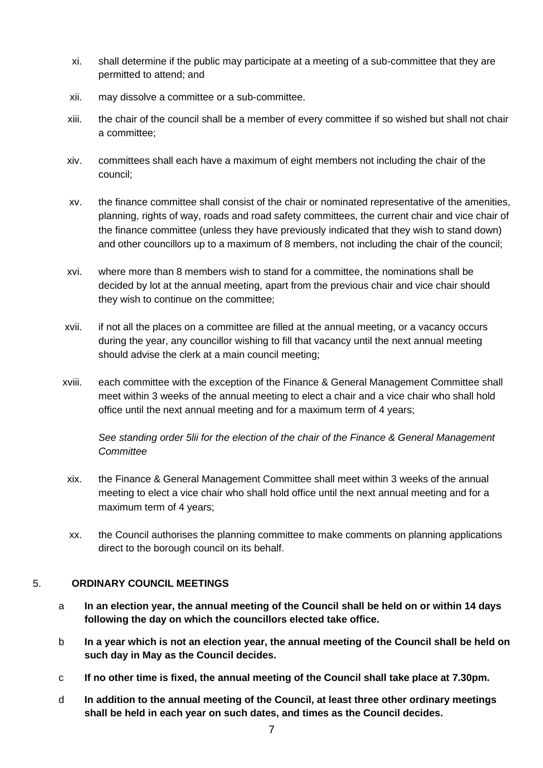- xi. shall determine if the public may participate at a meeting of a sub-committee that they are permitted to attend; and
- xii. may dissolve a committee or a sub-committee.
- xiii. the chair of the council shall be a member of every committee if so wished but shall not chair a committee;
- xiv. committees shall each have a maximum of eight members not including the chair of the council;
- xv. the finance committee shall consist of the chair or nominated representative of the amenities, planning, rights of way, roads and road safety committees, the current chair and vice chair of the finance committee (unless they have previously indicated that they wish to stand down) and other councillors up to a maximum of 8 members, not including the chair of the council;
- xvi. where more than 8 members wish to stand for a committee, the nominations shall be decided by lot at the annual meeting, apart from the previous chair and vice chair should they wish to continue on the committee;
- xvii. if not all the places on a committee are filled at the annual meeting, or a vacancy occurs during the year, any councillor wishing to fill that vacancy until the next annual meeting should advise the clerk at a main council meeting;
- xviii. each committee with the exception of the Finance & General Management Committee shall meet within 3 weeks of the annual meeting to elect a chair and a vice chair who shall hold office until the next annual meeting and for a maximum term of 4 years;

*See standing order 5lii for the election of the chair of the Finance & General Management Committee*

- xix. the Finance & General Management Committee shall meet within 3 weeks of the annual meeting to elect a vice chair who shall hold office until the next annual meeting and for a maximum term of 4 years;
- xx. the Council authorises the planning committee to make comments on planning applications direct to the borough council on its behalf.

## <span id="page-6-0"></span>5. **ORDINARY COUNCIL MEETINGS**

- a **In an election year, the annual meeting of the Council shall be held on or within 14 days following the day on which the councillors elected take office.**
- b **In a year which is not an election year, the annual meeting of the Council shall be held on such day in May as the Council decides.**
- c **If no other time is fixed, the annual meeting of the Council shall take place at 7.30pm.**
- d **In addition to the annual meeting of the Council, at least three other ordinary meetings shall be held in each year on such dates, and times as the Council decides.**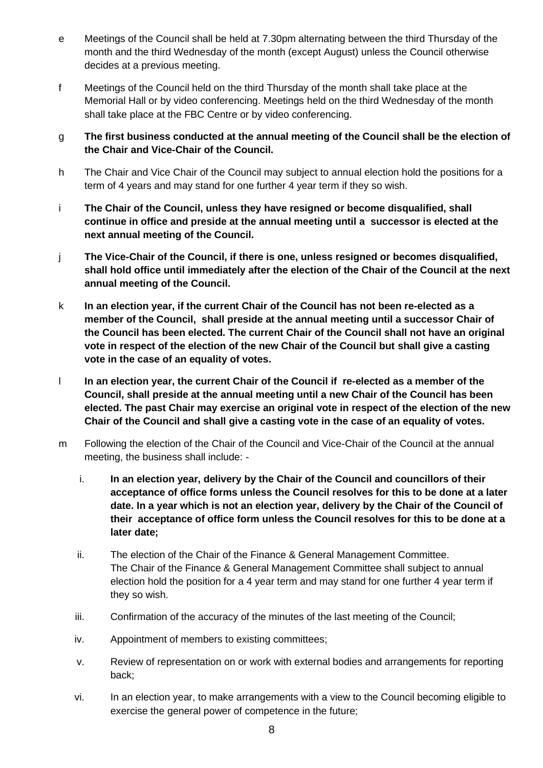- e Meetings of the Council shall be held at 7.30pm alternating between the third Thursday of the month and the third Wednesday of the month (except August) unless the Council otherwise decides at a previous meeting.
- f Meetings of the Council held on the third Thursday of the month shall take place at the Memorial Hall or by video conferencing. Meetings held on the third Wednesday of the month shall take place at the FBC Centre or by video conferencing.
- g **The first business conducted at the annual meeting of the Council shall be the election of the Chair and Vice-Chair of the Council.**
- h The Chair and Vice Chair of the Council may subject to annual election hold the positions for a term of 4 years and may stand for one further 4 year term if they so wish.
- i **The Chair of the Council, unless they have resigned or become disqualified, shall continue in office and preside at the annual meeting until a successor is elected at the next annual meeting of the Council.**
- j **The Vice-Chair of the Council, if there is one, unless resigned or becomes disqualified, shall hold office until immediately after the election of the Chair of the Council at the next annual meeting of the Council.**
- k **In an election year, if the current Chair of the Council has not been re-elected as a member of the Council, shall preside at the annual meeting until a successor Chair of the Council has been elected. The current Chair of the Council shall not have an original vote in respect of the election of the new Chair of the Council but shall give a casting vote in the case of an equality of votes.**
- l **In an election year, the current Chair of the Council if re-elected as a member of the Council, shall preside at the annual meeting until a new Chair of the Council has been elected. The past Chair may exercise an original vote in respect of the election of the new Chair of the Council and shall give a casting vote in the case of an equality of votes.**
- m Following the election of the Chair of the Council and Vice-Chair of the Council at the annual meeting, the business shall include:
	- i. **In an election year, delivery by the Chair of the Council and councillors of their acceptance of office forms unless the Council resolves for this to be done at a later date. In a year which is not an election year, delivery by the Chair of the Council of their acceptance of office form unless the Council resolves for this to be done at a later date;**
	- ii. The election of the Chair of the Finance & General Management Committee. The Chair of the Finance & General Management Committee shall subject to annual election hold the position for a 4 year term and may stand for one further 4 year term if they so wish.
	- iii. Confirmation of the accuracy of the minutes of the last meeting of the Council;
	- iv. Appointment of members to existing committees;
	- v. Review of representation on or work with external bodies and arrangements for reporting back;
	- vi. In an election year, to make arrangements with a view to the Council becoming eligible to exercise the general power of competence in the future;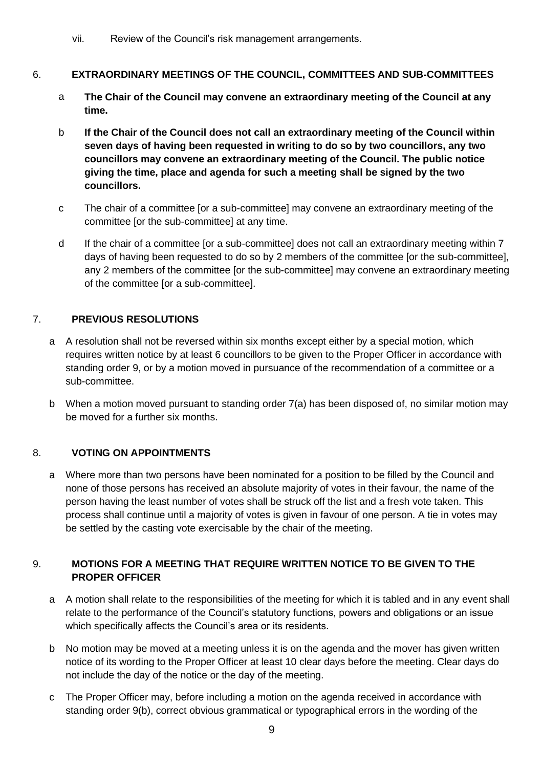vii. Review of the Council's risk management arrangements.

## <span id="page-8-0"></span>6. **EXTRAORDINARY MEETINGS OF THE COUNCIL, COMMITTEES AND SUB-COMMITTEES**

- a **The Chair of the Council may convene an extraordinary meeting of the Council at any time.**
- b **If the Chair of the Council does not call an extraordinary meeting of the Council within seven days of having been requested in writing to do so by two councillors, any two councillors may convene an extraordinary meeting of the Council. The public notice giving the time, place and agenda for such a meeting shall be signed by the two councillors.**
- c The chair of a committee [or a sub-committee] may convene an extraordinary meeting of the committee [or the sub-committee] at any time.
- d If the chair of a committee [or a sub-committee] does not call an extraordinary meeting within 7 days of having been requested to do so by 2 members of the committee [or the sub-committee], any 2 members of the committee [or the sub-committee] may convene an extraordinary meeting of the committee [or a sub-committee].

# <span id="page-8-1"></span>7. **PREVIOUS RESOLUTIONS**

- a A resolution shall not be reversed within six months except either by a special motion, which requires written notice by at least 6 councillors to be given to the Proper Officer in accordance with standing order 9, or by a motion moved in pursuance of the recommendation of a committee or a sub-committee.
- b When a motion moved pursuant to standing order 7(a) has been disposed of, no similar motion may be moved for a further six months.

# <span id="page-8-2"></span>8. **VOTING ON APPOINTMENTS**

a Where more than two persons have been nominated for a position to be filled by the Council and none of those persons has received an absolute majority of votes in their favour, the name of the person having the least number of votes shall be struck off the list and a fresh vote taken. This process shall continue until a majority of votes is given in favour of one person. A tie in votes may be settled by the casting vote exercisable by the chair of the meeting.

## <span id="page-8-3"></span>9. **MOTIONS FOR A MEETING THAT REQUIRE WRITTEN NOTICE TO BE GIVEN TO THE PROPER OFFICER**

- a A motion shall relate to the responsibilities of the meeting for which it is tabled and in any event shall relate to the performance of the Council's statutory functions, powers and obligations or an issue which specifically affects the Council's area or its residents.
- b No motion may be moved at a meeting unless it is on the agenda and the mover has given written notice of its wording to the Proper Officer at least 10 clear days before the meeting. Clear days do not include the day of the notice or the day of the meeting.
- c The Proper Officer may, before including a motion on the agenda received in accordance with standing order 9(b), correct obvious grammatical or typographical errors in the wording of the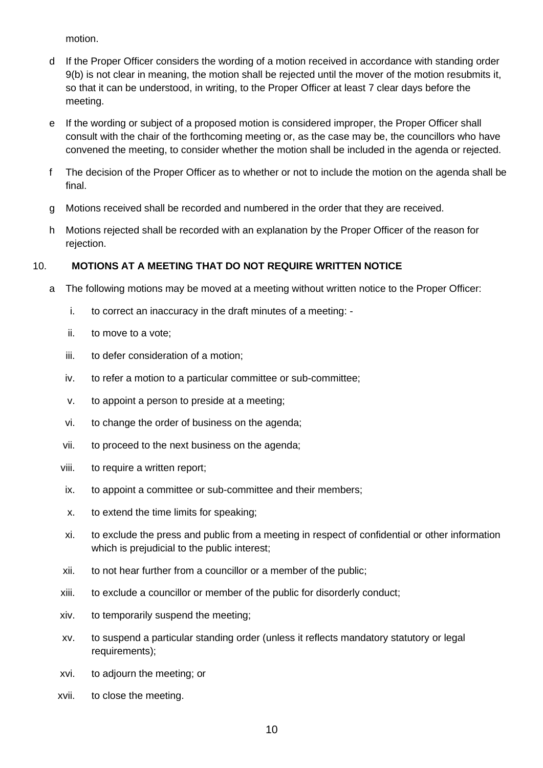motion.

- d If the Proper Officer considers the wording of a motion received in accordance with standing order 9(b) is not clear in meaning, the motion shall be rejected until the mover of the motion resubmits it, so that it can be understood, in writing, to the Proper Officer at least 7 clear days before the meeting.
- e If the wording or subject of a proposed motion is considered improper, the Proper Officer shall consult with the chair of the forthcoming meeting or, as the case may be, the councillors who have convened the meeting, to consider whether the motion shall be included in the agenda or rejected.
- f The decision of the Proper Officer as to whether or not to include the motion on the agenda shall be final.
- g Motions received shall be recorded and numbered in the order that they are received.
- h Motions rejected shall be recorded with an explanation by the Proper Officer of the reason for rejection.

## <span id="page-9-0"></span>10. **MOTIONS AT A MEETING THAT DO NOT REQUIRE WRITTEN NOTICE**

- a The following motions may be moved at a meeting without written notice to the Proper Officer:
	- i. to correct an inaccuracy in the draft minutes of a meeting: -
	- ii. to move to a vote;
	- iii. to defer consideration of a motion;
	- iv. to refer a motion to a particular committee or sub-committee;
	- v. to appoint a person to preside at a meeting;
	- vi. to change the order of business on the agenda;
	- vii. to proceed to the next business on the agenda;
	- viii. to require a written report;
	- ix. to appoint a committee or sub-committee and their members;
	- x. to extend the time limits for speaking;
	- xi. to exclude the press and public from a meeting in respect of confidential or other information which is prejudicial to the public interest;
	- xii. to not hear further from a councillor or a member of the public;
	- xiii. to exclude a councillor or member of the public for disorderly conduct;
	- xiv. to temporarily suspend the meeting;
	- xv. to suspend a particular standing order (unless it reflects mandatory statutory or legal requirements);
	- xvi. to adjourn the meeting; or
	- xvii. to close the meeting.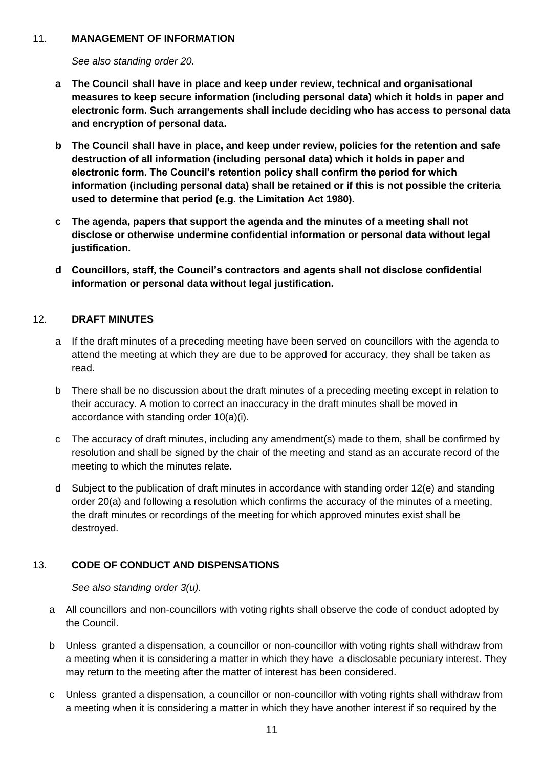#### <span id="page-10-0"></span>11. **MANAGEMENT OF INFORMATION**

*See also standing order 20.*

- **a The Council shall have in place and keep under review, technical and organisational measures to keep secure information (including personal data) which it holds in paper and electronic form. Such arrangements shall include deciding who has access to personal data and encryption of personal data.**
- **b The Council shall have in place, and keep under review, policies for the retention and safe destruction of all information (including personal data) which it holds in paper and electronic form. The Council's retention policy shall confirm the period for which information (including personal data) shall be retained or if this is not possible the criteria used to determine that period (e.g. the Limitation Act 1980).**
- **c The agenda, papers that support the agenda and the minutes of a meeting shall not disclose or otherwise undermine confidential information or personal data without legal justification.**
- **d Councillors, staff, the Council's contractors and agents shall not disclose confidential information or personal data without legal justification.**

## <span id="page-10-1"></span>12. **DRAFT MINUTES**

- a If the draft minutes of a preceding meeting have been served on councillors with the agenda to attend the meeting at which they are due to be approved for accuracy, they shall be taken as read.
- b There shall be no discussion about the draft minutes of a preceding meeting except in relation to their accuracy. A motion to correct an inaccuracy in the draft minutes shall be moved in accordance with standing order 10(a)(i).
- c The accuracy of draft minutes, including any amendment(s) made to them, shall be confirmed by resolution and shall be signed by the chair of the meeting and stand as an accurate record of the meeting to which the minutes relate.
- d Subject to the publication of draft minutes in accordance with standing order 12(e) and standing order 20(a) and following a resolution which confirms the accuracy of the minutes of a meeting, the draft minutes or recordings of the meeting for which approved minutes exist shall be destroyed.

# <span id="page-10-2"></span>13. **CODE OF CONDUCT AND DISPENSATIONS**

*See also standing order 3(u).*

- a All councillors and non-councillors with voting rights shall observe the code of conduct adopted by the Council.
- b Unless granted a dispensation, a councillor or non-councillor with voting rights shall withdraw from a meeting when it is considering a matter in which they have a disclosable pecuniary interest. They may return to the meeting after the matter of interest has been considered.
- c Unless granted a dispensation, a councillor or non-councillor with voting rights shall withdraw from a meeting when it is considering a matter in which they have another interest if so required by the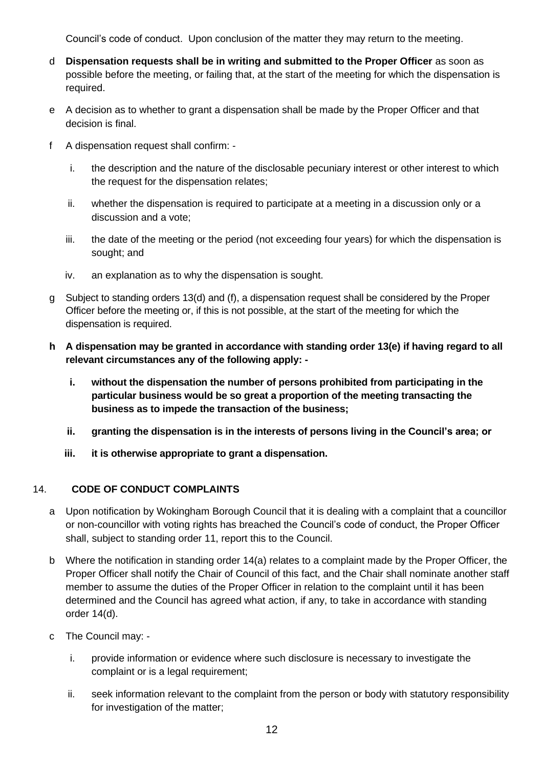Council's code of conduct. Upon conclusion of the matter they may return to the meeting.

- d **Dispensation requests shall be in writing and submitted to the Proper Officer** as soon as possible before the meeting, or failing that, at the start of the meeting for which the dispensation is required.
- e A decision as to whether to grant a dispensation shall be made by the Proper Officer and that decision is final.
- f A dispensation request shall confirm:
	- i. the description and the nature of the disclosable pecuniary interest or other interest to which the request for the dispensation relates;
	- ii. whether the dispensation is required to participate at a meeting in a discussion only or a discussion and a vote;
	- iii. the date of the meeting or the period (not exceeding four years) for which the dispensation is sought; and
	- iv. an explanation as to why the dispensation is sought.
- g Subject to standing orders 13(d) and (f), a dispensation request shall be considered by the Proper Officer before the meeting or, if this is not possible, at the start of the meeting for which the dispensation is required.
- **h A dispensation may be granted in accordance with standing order 13(e) if having regard to all relevant circumstances any of the following apply:** 
	- **i. without the dispensation the number of persons prohibited from participating in the particular business would be so great a proportion of the meeting transacting the business as to impede the transaction of the business;**
	- **ii. granting the dispensation is in the interests of persons living in the Council's area; or**
	- **iii. it is otherwise appropriate to grant a dispensation.**

## <span id="page-11-0"></span>14. **CODE OF CONDUCT COMPLAINTS**

- a Upon notification by Wokingham Borough Council that it is dealing with a complaint that a councillor or non-councillor with voting rights has breached the Council's code of conduct, the Proper Officer shall, subject to standing order 11, report this to the Council.
- b Where the notification in standing order 14(a) relates to a complaint made by the Proper Officer, the Proper Officer shall notify the Chair of Council of this fact, and the Chair shall nominate another staff member to assume the duties of the Proper Officer in relation to the complaint until it has been determined and the Council has agreed what action, if any, to take in accordance with standing order 14(d).
- c The Council may:
	- i. provide information or evidence where such disclosure is necessary to investigate the complaint or is a legal requirement;
	- ii. seek information relevant to the complaint from the person or body with statutory responsibility for investigation of the matter;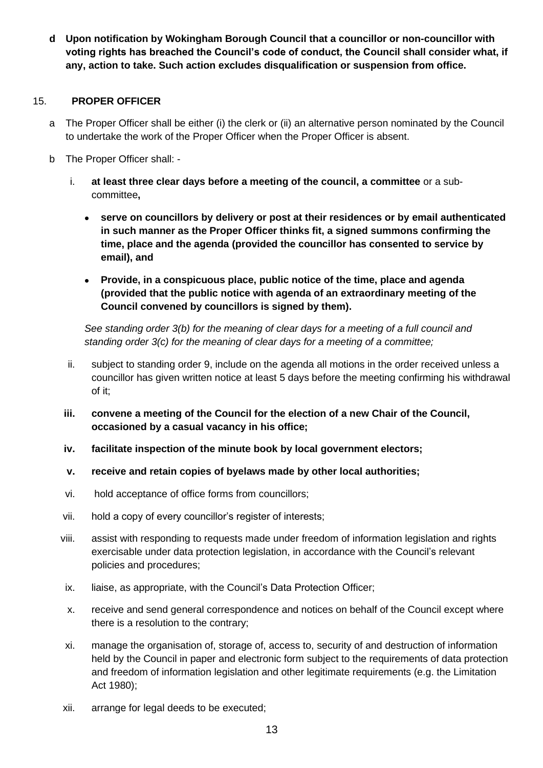**d Upon notification by Wokingham Borough Council that a councillor or non-councillor with voting rights has breached the Council's code of conduct, the Council shall consider what, if any, action to take. Such action excludes disqualification or suspension from office.**

#### <span id="page-12-0"></span>15. **PROPER OFFICER**

- a The Proper Officer shall be either (i) the clerk or (ii) an alternative person nominated by the Council to undertake the work of the Proper Officer when the Proper Officer is absent.
- b The Proper Officer shall:
	- i. **at least three clear days before a meeting of the council, a committee** or a subcommittee**,**
		- **serve on councillors by delivery or post at their residences or by email authenticated in such manner as the Proper Officer thinks fit, a signed summons confirming the time, place and the agenda (provided the councillor has consented to service by email), and**
		- **Provide, in a conspicuous place, public notice of the time, place and agenda (provided that the public notice with agenda of an extraordinary meeting of the Council convened by councillors is signed by them).**

*See standing order 3(b) for the meaning of clear days for a meeting of a full council and standing order 3(c) for the meaning of clear days for a meeting of a committee;*

- ii. subject to standing order 9, include on the agenda all motions in the order received unless a councillor has given written notice at least 5 days before the meeting confirming his withdrawal of it;
- **iii. convene a meeting of the Council for the election of a new Chair of the Council, occasioned by a casual vacancy in his office;**
- **iv. facilitate inspection of the minute book by local government electors;**
- **v. receive and retain copies of byelaws made by other local authorities;**
- vi. hold acceptance of office forms from councillors;
- vii. hold a copy of every councillor's register of interests;
- viii. assist with responding to requests made under freedom of information legislation and rights exercisable under data protection legislation, in accordance with the Council's relevant policies and procedures;
- ix. liaise, as appropriate, with the Council's Data Protection Officer;
- x. receive and send general correspondence and notices on behalf of the Council except where there is a resolution to the contrary;
- xi. manage the organisation of, storage of, access to, security of and destruction of information held by the Council in paper and electronic form subject to the requirements of data protection and freedom of information legislation and other legitimate requirements (e.g. the Limitation Act 1980);
- xii. arrange for legal deeds to be executed;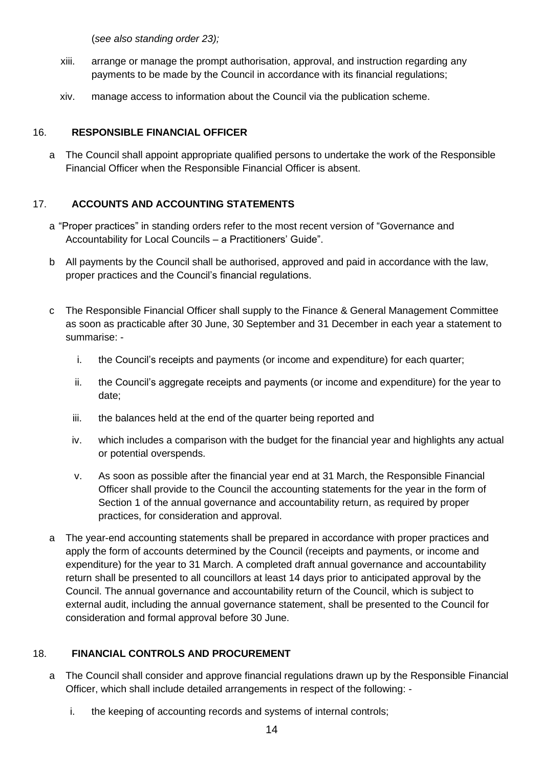(*see also standing order 23);*

- xiii. arrange or manage the prompt authorisation, approval, and instruction regarding any payments to be made by the Council in accordance with its financial regulations;
- xiv. manage access to information about the Council via the publication scheme.

## <span id="page-13-0"></span>16. **RESPONSIBLE FINANCIAL OFFICER**

a The Council shall appoint appropriate qualified persons to undertake the work of the Responsible Financial Officer when the Responsible Financial Officer is absent.

# <span id="page-13-1"></span>17. **ACCOUNTS AND ACCOUNTING STATEMENTS**

- a "Proper practices" in standing orders refer to the most recent version of "Governance and Accountability for Local Councils – a Practitioners' Guide".
- b All payments by the Council shall be authorised, approved and paid in accordance with the law, proper practices and the Council's financial regulations.
- c The Responsible Financial Officer shall supply to the Finance & General Management Committee as soon as practicable after 30 June, 30 September and 31 December in each year a statement to summarise:
	- i. the Council's receipts and payments (or income and expenditure) for each quarter;
	- ii. the Council's aggregate receipts and payments (or income and expenditure) for the year to date;
	- iii. the balances held at the end of the quarter being reported and
	- iv. which includes a comparison with the budget for the financial year and highlights any actual or potential overspends.
	- v. As soon as possible after the financial year end at 31 March, the Responsible Financial Officer shall provide to the Council the accounting statements for the year in the form of Section 1 of the annual governance and accountability return, as required by proper practices, for consideration and approval.
- a The year-end accounting statements shall be prepared in accordance with proper practices and apply the form of accounts determined by the Council (receipts and payments, or income and expenditure) for the year to 31 March. A completed draft annual governance and accountability return shall be presented to all councillors at least 14 days prior to anticipated approval by the Council. The annual governance and accountability return of the Council, which is subject to external audit, including the annual governance statement, shall be presented to the Council for consideration and formal approval before 30 June.

# <span id="page-13-2"></span>18. **FINANCIAL CONTROLS AND PROCUREMENT**

- a The Council shall consider and approve financial regulations drawn up by the Responsible Financial Officer, which shall include detailed arrangements in respect of the following:
	- i. the keeping of accounting records and systems of internal controls;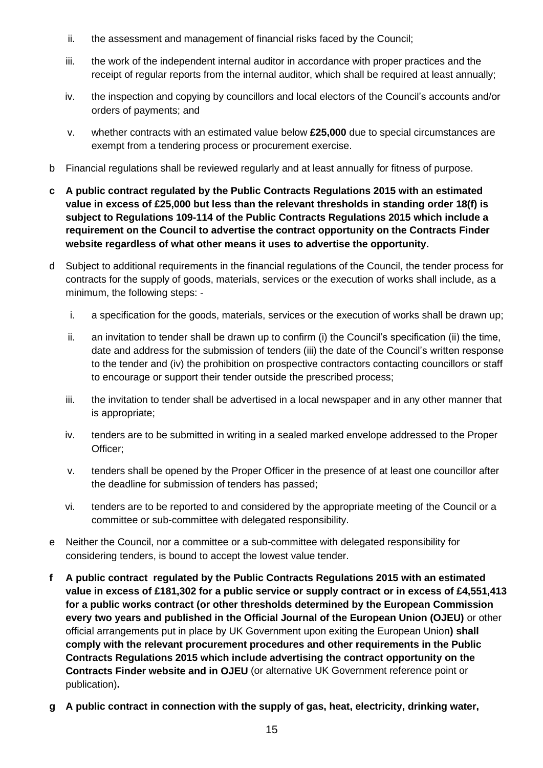- ii. the assessment and management of financial risks faced by the Council;
- iii. the work of the independent internal auditor in accordance with proper practices and the receipt of regular reports from the internal auditor, which shall be required at least annually;
- iv. the inspection and copying by councillors and local electors of the Council's accounts and/or orders of payments; and
- v. whether contracts with an estimated value below **£25,000** due to special circumstances are exempt from a tendering process or procurement exercise.
- b Financial regulations shall be reviewed regularly and at least annually for fitness of purpose.
- **c A public contract regulated by the Public Contracts Regulations 2015 with an estimated value in excess of £25,000 but less than the relevant thresholds in standing order 18(f) is subject to Regulations 109-114 of the Public Contracts Regulations 2015 which include a requirement on the Council to advertise the contract opportunity on the Contracts Finder website regardless of what other means it uses to advertise the opportunity.**
- d Subject to additional requirements in the financial regulations of the Council, the tender process for contracts for the supply of goods, materials, services or the execution of works shall include, as a minimum, the following steps:
	- i. a specification for the goods, materials, services or the execution of works shall be drawn up;
	- ii. an invitation to tender shall be drawn up to confirm (i) the Council's specification (ii) the time, date and address for the submission of tenders (iii) the date of the Council's written response to the tender and (iv) the prohibition on prospective contractors contacting councillors or staff to encourage or support their tender outside the prescribed process;
	- iii. the invitation to tender shall be advertised in a local newspaper and in any other manner that is appropriate;
	- iv. tenders are to be submitted in writing in a sealed marked envelope addressed to the Proper Officer;
	- v. tenders shall be opened by the Proper Officer in the presence of at least one councillor after the deadline for submission of tenders has passed;
	- vi. tenders are to be reported to and considered by the appropriate meeting of the Council or a committee or sub-committee with delegated responsibility.
- e Neither the Council, nor a committee or a sub-committee with delegated responsibility for considering tenders, is bound to accept the lowest value tender.
- **f A public contract regulated by the Public Contracts Regulations 2015 with an estimated value in excess of £181,302 for a public service or supply contract or in excess of £4,551,413 for a public works contract (or other thresholds determined by the European Commission every two years and published in the Official Journal of the European Union (OJEU)** or other official arrangements put in place by UK Government upon exiting the European Union**) shall comply with the relevant procurement procedures and other requirements in the Public Contracts Regulations 2015 which include advertising the contract opportunity on the Contracts Finder website and in OJEU** (or alternative UK Government reference point or publication)**.**
- **g A public contract in connection with the supply of gas, heat, electricity, drinking water,**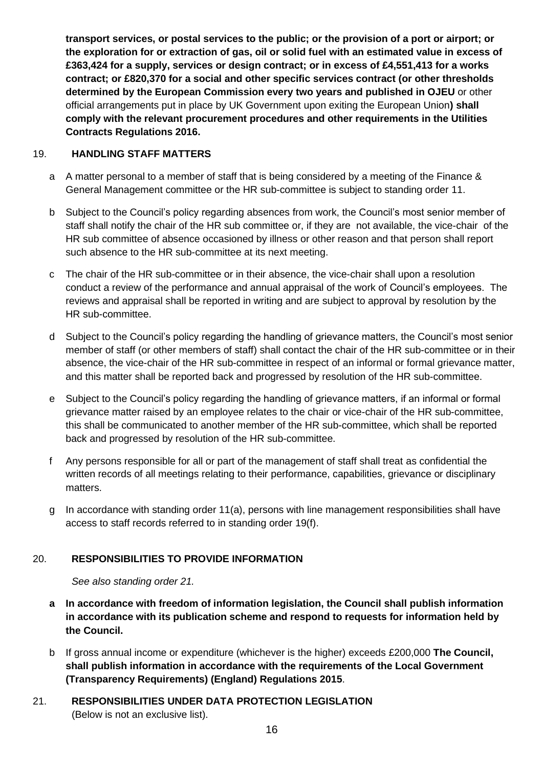**transport services, or postal services to the public; or the provision of a port or airport; or the exploration for or extraction of gas, oil or solid fuel with an estimated value in excess of £363,424 for a supply, services or design contract; or in excess of £4,551,413 for a works contract; or £820,370 for a social and other specific services contract (or other thresholds determined by the European Commission every two years and published in OJEU** or other official arrangements put in place by UK Government upon exiting the European Union**) shall comply with the relevant procurement procedures and other requirements in the Utilities Contracts Regulations 2016.**

## <span id="page-15-0"></span>19. **HANDLING STAFF MATTERS**

- a A matter personal to a member of staff that is being considered by a meeting of the Finance & General Management committee or the HR sub-committee is subject to standing order 11.
- b Subject to the Council's policy regarding absences from work, the Council's most senior member of staff shall notify the chair of the HR sub committee or, if they are not available, the vice-chair of the HR sub committee of absence occasioned by illness or other reason and that person shall report such absence to the HR sub-committee at its next meeting.
- c The chair of the HR sub-committee or in their absence, the vice-chair shall upon a resolution conduct a review of the performance and annual appraisal of the work of Council's employees. The reviews and appraisal shall be reported in writing and are subject to approval by resolution by the HR sub-committee.
- d Subject to the Council's policy regarding the handling of grievance matters, the Council's most senior member of staff (or other members of staff) shall contact the chair of the HR sub-committee or in their absence, the vice-chair of the HR sub-committee in respect of an informal or formal grievance matter, and this matter shall be reported back and progressed by resolution of the HR sub-committee.
- e Subject to the Council's policy regarding the handling of grievance matters, if an informal or formal grievance matter raised by an employee relates to the chair or vice-chair of the HR sub-committee, this shall be communicated to another member of the HR sub-committee, which shall be reported back and progressed by resolution of the HR sub-committee.
- f Any persons responsible for all or part of the management of staff shall treat as confidential the written records of all meetings relating to their performance, capabilities, grievance or disciplinary matters.
- g In accordance with standing order 11(a), persons with line management responsibilities shall have access to staff records referred to in standing order 19(f).

# <span id="page-15-1"></span>20. **RESPONSIBILITIES TO PROVIDE INFORMATION**

*See also standing order 21.*

- **a In accordance with freedom of information legislation, the Council shall publish information in accordance with its publication scheme and respond to requests for information held by the Council.**
- b If gross annual income or expenditure (whichever is the higher) exceeds £200,000 **The Council, shall publish information in accordance with the requirements of the Local Government (Transparency Requirements) (England) Regulations 2015**.
- <span id="page-15-2"></span>21. **RESPONSIBILITIES UNDER DATA PROTECTION LEGISLATION**  (Below is not an exclusive list).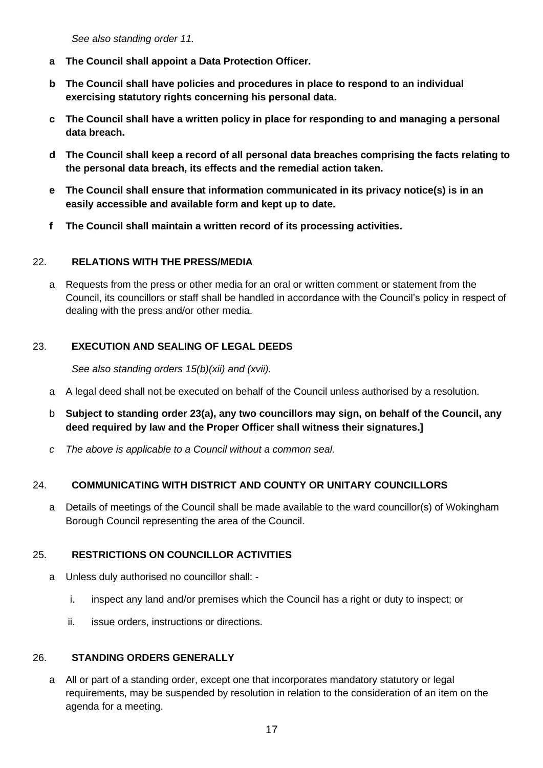*See also standing order 11.*

- **a The Council shall appoint a Data Protection Officer.**
- **b The Council shall have policies and procedures in place to respond to an individual exercising statutory rights concerning his personal data.**
- **c The Council shall have a written policy in place for responding to and managing a personal data breach.**
- **d The Council shall keep a record of all personal data breaches comprising the facts relating to the personal data breach, its effects and the remedial action taken.**
- **e The Council shall ensure that information communicated in its privacy notice(s) is in an easily accessible and available form and kept up to date.**
- **f The Council shall maintain a written record of its processing activities.**

#### <span id="page-16-0"></span>22. **RELATIONS WITH THE PRESS/MEDIA**

a Requests from the press or other media for an oral or written comment or statement from the Council, its councillors or staff shall be handled in accordance with the Council's policy in respect of dealing with the press and/or other media.

## <span id="page-16-1"></span>23. **EXECUTION AND SEALING OF LEGAL DEEDS**

*See also standing orders 15(b)(xii) and (xvii).*

- a A legal deed shall not be executed on behalf of the Council unless authorised by a resolution.
- b **Subject to standing order 23(a), any two councillors may sign, on behalf of the Council, any deed required by law and the Proper Officer shall witness their signatures.]**
- *c The above is applicable to a Council without a common seal.*

## <span id="page-16-2"></span>24. **COMMUNICATING WITH DISTRICT AND COUNTY OR UNITARY COUNCILLORS**

a Details of meetings of the Council shall be made available to the ward councillor(s) of Wokingham Borough Council representing the area of the Council.

## <span id="page-16-3"></span>25. **RESTRICTIONS ON COUNCILLOR ACTIVITIES**

- a Unless duly authorised no councillor shall:
	- i. inspect any land and/or premises which the Council has a right or duty to inspect; or
	- ii. issue orders, instructions or directions.

## <span id="page-16-4"></span>26. **STANDING ORDERS GENERALLY**

a All or part of a standing order, except one that incorporates mandatory statutory or legal requirements, may be suspended by resolution in relation to the consideration of an item on the agenda for a meeting.